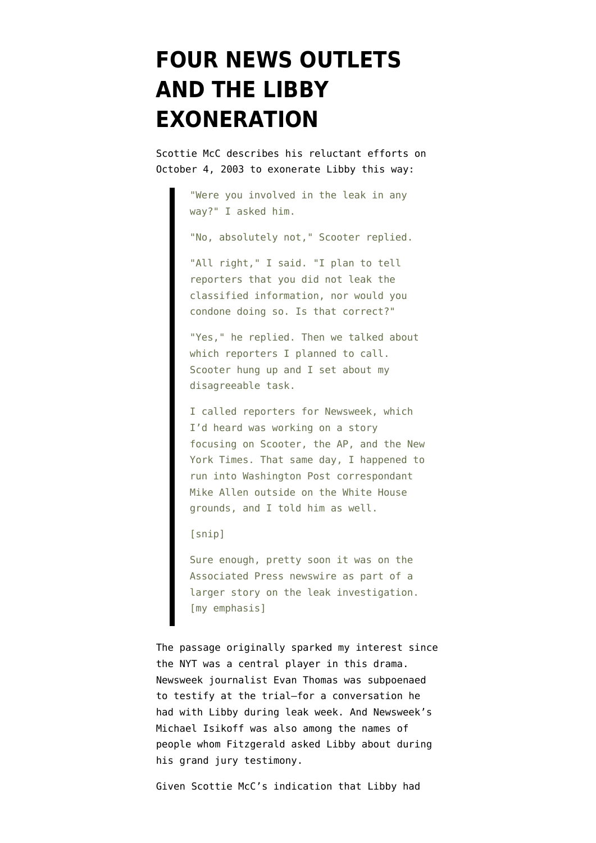# **[FOUR NEWS OUTLETS](https://www.emptywheel.net/2008/06/10/four-news-outlets-and-the-libby-exoneration/) [AND THE LIBBY](https://www.emptywheel.net/2008/06/10/four-news-outlets-and-the-libby-exoneration/) [EXONERATION](https://www.emptywheel.net/2008/06/10/four-news-outlets-and-the-libby-exoneration/)**

Scottie McC describes his reluctant efforts on October 4, 2003 to exonerate Libby this way:

> "Were you involved in the leak in any way?" I asked him.

"No, absolutely not," Scooter replied.

"All right," I said. "I plan to tell reporters that you did not leak the classified information, nor would you condone doing so. Is that correct?"

"Yes," he replied. Then we talked about which reporters I planned to call. Scooter hung up and I set about my disagreeable task.

I called reporters for Newsweek, which I'd heard was working on a story focusing on Scooter, the AP, and the New York Times. That same day, I happened to run into Washington Post correspondant Mike Allen outside on the White House grounds, and I told him as well.

[snip]

Sure enough, pretty soon it was on the Associated Press newswire as part of a larger story on the leak investigation. [my emphasis]

The passage originally sparked my interest since the NYT was a central player in this drama. Newsweek journalist Evan Thomas was subpoenaed to testify at the trial–for a conversation he had with Libby during leak week. And Newsweek's Michael Isikoff was also among the names of people whom Fitzgerald asked Libby about during his grand jury testimony.

Given Scottie McC's indication that Libby had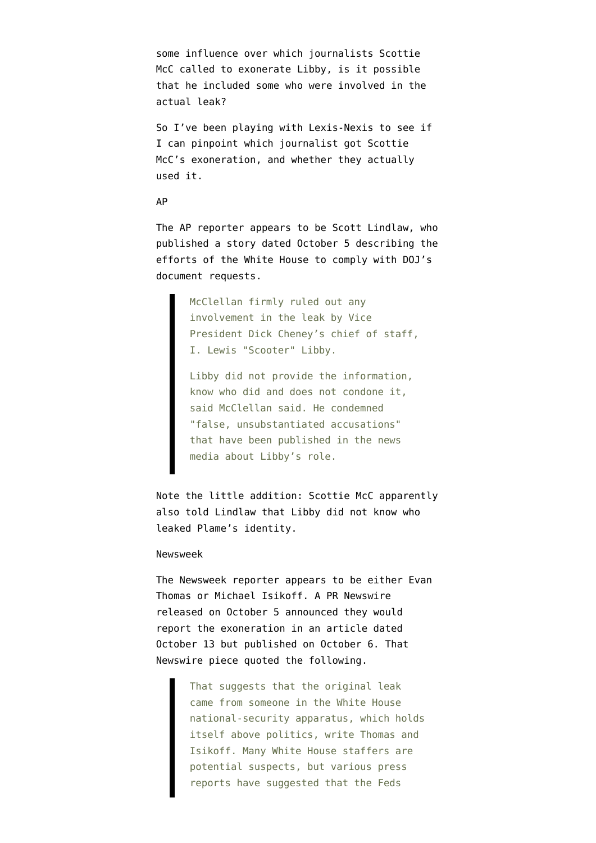some influence over which journalists Scottie McC called to exonerate Libby, is it possible that he included some who were involved in the actual leak?

So I've been playing with Lexis-Nexis to see if I can pinpoint which journalist got Scottie McC's exoneration, and whether they actually used it.

### AP

The AP reporter appears to be Scott Lindlaw, who published a story dated October 5 describing the efforts of the White House to comply with DOJ's document requests.

> McClellan firmly ruled out any involvement in the leak by Vice President Dick Cheney's chief of staff, I. Lewis "Scooter" Libby.

Libby did not provide the information, know who did and does not condone it, said McClellan said. He condemned "false, unsubstantiated accusations" that have been published in the news media about Libby's role.

Note the little addition: Scottie McC apparently also told Lindlaw that Libby did not know who leaked Plame's identity.

## Newsweek

The Newsweek reporter appears to be either Evan Thomas or Michael Isikoff. A PR Newswire released on October 5 announced they would report the exoneration in an article dated October 13 but published on October 6. That Newswire piece quoted the following.

> That suggests that the original leak came from someone in the White House national-security apparatus, which holds itself above politics, write Thomas and Isikoff. Many White House staffers are potential suspects, but various press reports have suggested that the Feds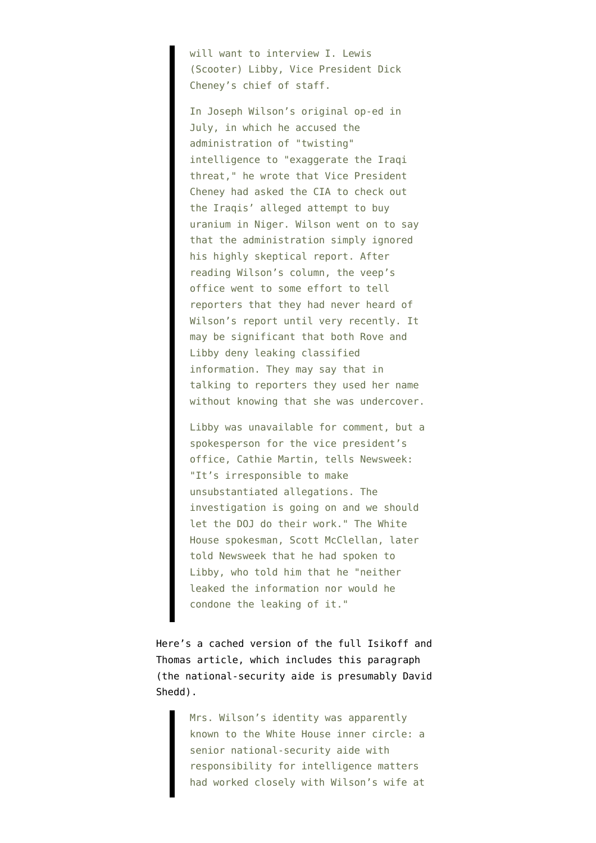will want to interview I. Lewis (Scooter) Libby, Vice President Dick Cheney's chief of staff.

In Joseph Wilson's original op-ed in July, in which he accused the administration of "twisting" intelligence to "exaggerate the Iraqi threat," he wrote that Vice President Cheney had asked the CIA to check out the Iraqis' alleged attempt to buy uranium in Niger. Wilson went on to say that the administration simply ignored his highly skeptical report. After reading Wilson's column, the veep's office went to some effort to tell reporters that they had never heard of Wilson's report until very recently. It may be significant that both Rove and Libby deny leaking classified information. They may say that in talking to reporters they used her name without knowing that she was undercover.

Libby was unavailable for comment, but a spokesperson for the vice president's office, Cathie Martin, tells Newsweek: "It's irresponsible to make unsubstantiated allegations. The investigation is going on and we should let the DOJ do their work." The White House spokesman, Scott McClellan, later told Newsweek that he had spoken to Libby, who told him that he "neither leaked the information nor would he condone the leaking of it."

Here's a cached version of the full [Isikoff and](http://72.14.205.104/search?q=cache:qyaZ4Pi7kk4J:www.truthout.org/docs_03/101003B.shtml+secrets+and+leaks&hl=en&ct=clnk&cd=6&gl=us&client=firefox-a) [Thomas article](http://72.14.205.104/search?q=cache:qyaZ4Pi7kk4J:www.truthout.org/docs_03/101003B.shtml+secrets+and+leaks&hl=en&ct=clnk&cd=6&gl=us&client=firefox-a), which includes this paragraph (the national-security aide is presumably David Shedd).

> Mrs. Wilson's identity was apparently known to the White House inner circle: a senior national-security aide with responsibility for intelligence matters had worked closely with Wilson's wife at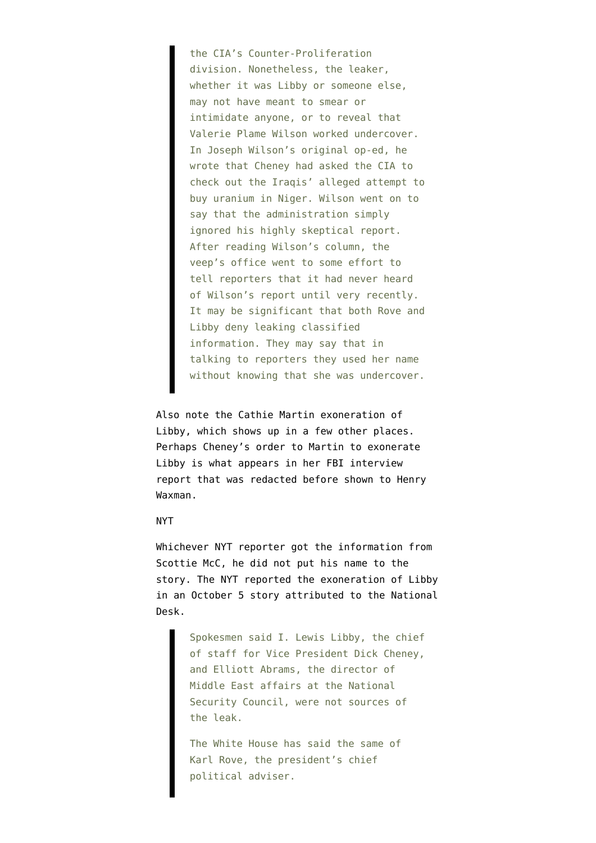the CIA's Counter-Proliferation division. Nonetheless, the leaker, whether it was Libby or someone else, may not have meant to smear or intimidate anyone, or to reveal that Valerie Plame Wilson worked undercover. In Joseph Wilson's original op-ed, he wrote that Cheney had asked the CIA to check out the Iraqis' alleged attempt to buy uranium in Niger. Wilson went on to say that the administration simply ignored his highly skeptical report. After reading Wilson's column, the veep's office went to some effort to tell reporters that it had never heard of Wilson's report until very recently. It may be significant that both Rove and Libby deny leaking classified information. They may say that in talking to reporters they used her name without knowing that she was undercover.

Also note the Cathie Martin exoneration of Libby, which shows up in a few other places. Perhaps Cheney's order to Martin to exonerate Libby is what appears in her FBI interview report [that was redacted](http://emptywheel.firedoglake.com/2008/06/03/did-condi-speak-with-bush-about-roves-so-called-innocence-or-about-the-nie/) before shown to Henry Waxman.

# NYT

Whichever NYT reporter got the information from Scottie McC, he did not put his name to the story. The NYT reported the exoneration of Libby in an October 5 [story attributed](http://query.nytimes.com/gst/fullpage.html?res=9F0CE7D8123CF936A35753C1A9659C8B63&scp=2&sq=Libby&st=nyt) to the National Desk.

> Spokesmen said I. Lewis Libby, the chief of staff for Vice President Dick Cheney, and Elliott Abrams, the director of Middle East affairs at the National Security Council, were not sources of the leak.

The White House has said the same of Karl Rove, the president's chief political adviser.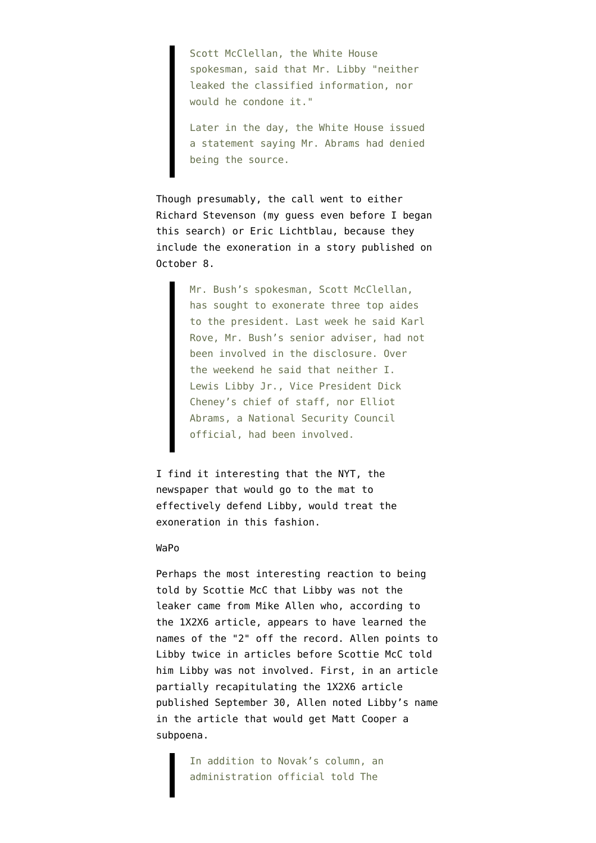Scott McClellan, the White House spokesman, said that Mr. Libby "neither leaked the classified information, nor would he condone it."

Later in the day, the White House issued a statement saying Mr. Abrams had denied being the source.

Though presumably, the call went to either Richard Stevenson (my guess even before I began this search) or Eric Lichtblau, because they include the exoneration in [a story](http://query.nytimes.com/gst/fullpage.html?res=9B02E7DD1E3CF93BA35753C1A9659C8B63&sec=&spon=&pagewanted=1) published on October 8.

> Mr. Bush's spokesman, Scott McClellan, has sought to exonerate three top aides to the president. Last week he said Karl Rove, Mr. Bush's senior adviser, had not been involved in the disclosure. Over the weekend he said that neither I. Lewis Libby Jr., Vice President Dick Cheney's chief of staff, nor Elliot Abrams, a National Security Council official, had been involved.

I find it interesting that the NYT, the newspaper that would go to the mat to effectively defend Libby, would treat the exoneration in this fashion.

### WaPo

Perhaps the most interesting reaction to being told by Scottie McC that Libby was not the leaker came from Mike Allen who, according to the 1X2X6 article, appears to have learned the names of the "2" off the record. Allen points to Libby twice in articles before Scottie McC told him Libby was not involved. First, in an [article](http://pqasb.pqarchiver.com/washingtonpost/access/415395991.html?dids=415395991:415395991&FMT=ABS&FMTS=ABS:FT&date=Sep+30%2C+2003&author=Mike+Allen+and+Dana+Milbank&pub=The+Washington+Post&edition=&startpage=A.01&desc=Bush+Vows+Action+if+Aides+Had+Role+in+Leak%3B+Democrats%27+Demand+for+Special+Counsel+Rejected) partially recapitulating the 1X2X6 article published September 30, Allen noted Libby's name in the article that would get Matt Cooper a subpoena.

> In addition to Novak's column, an administration official told The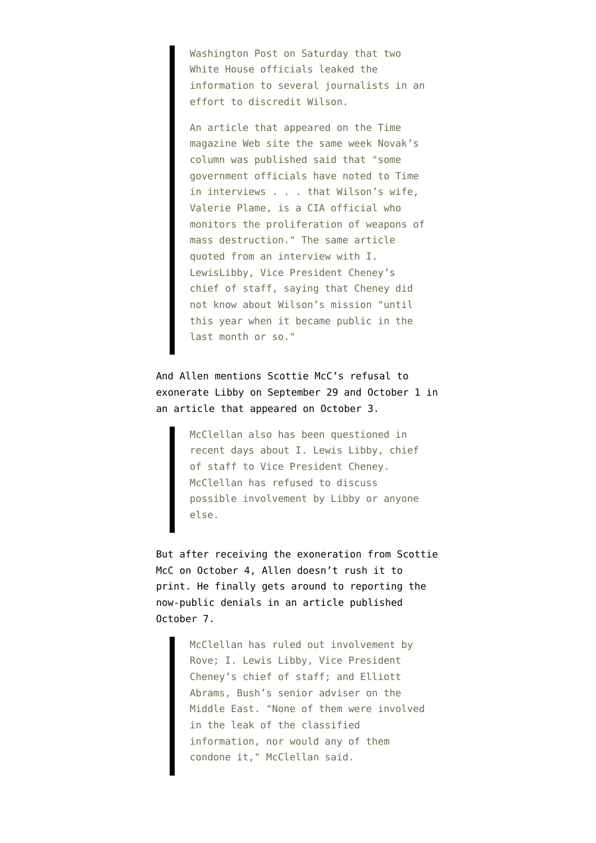Washington Post on Saturday that two White House officials leaked the information to several journalists in an effort to discredit Wilson.

An article that appeared on the Time magazine Web site the same week Novak's column was published said that "some government officials have noted to Time in interviews . . . that Wilson's wife, Valerie Plame, is a CIA official who monitors the proliferation of weapons of mass destruction." The same article quoted from an interview with I. LewisLibby, Vice President Cheney's chief of staff, saying that Cheney did not know about Wilson's mission "until this year when it became public in the last month or so."

And Allen mentions Scottie McC's refusal to exonerate Libby on September 29 and October 1 in [an article](http://pqasb.pqarchiver.com/washingtonpost/access/417468871.html?dids=417468871:417468871&FMT=ABS&FMTS=ABS:FT&date=Oct+3%2C+2003&author=Susan+Schmidt+and+Mike+Allen&pub=The+Washington+Post&edition=&startpage=A.01&desc=Justice+to+Begin+Leak+Interviews+Within+Days) that appeared on October 3.

> McClellan also has been questioned in recent days about I. Lewis Libby, chief of staff to Vice President Cheney. McClellan has refused to discuss possible involvement by Libby or anyone else.

But after receiving the exoneration from Scottie McC on October 4, Allen doesn't rush it to print. He finally gets around to reporting the now-public denials in an [article](http://pqasb.pqarchiver.com/washingtonpost/access/419821011.html?dids=419821011:419821011&FMT=ABS&FMTS=ABS:FT&date=Oct+7%2C+2003&author=Mike+Allen&pub=The+Washington+Post&edition=&startpage=A.08&desc=Bush+Hopes+Criminal+Probe+Deters+Future+Security+Leaks) published October 7.

> McClellan has ruled out involvement by Rove; I. Lewis Libby, Vice President Cheney's chief of staff; and Elliott Abrams, Bush's senior adviser on the Middle East. "None of them were involved in the leak of the classified information, nor would any of them condone it," McClellan said.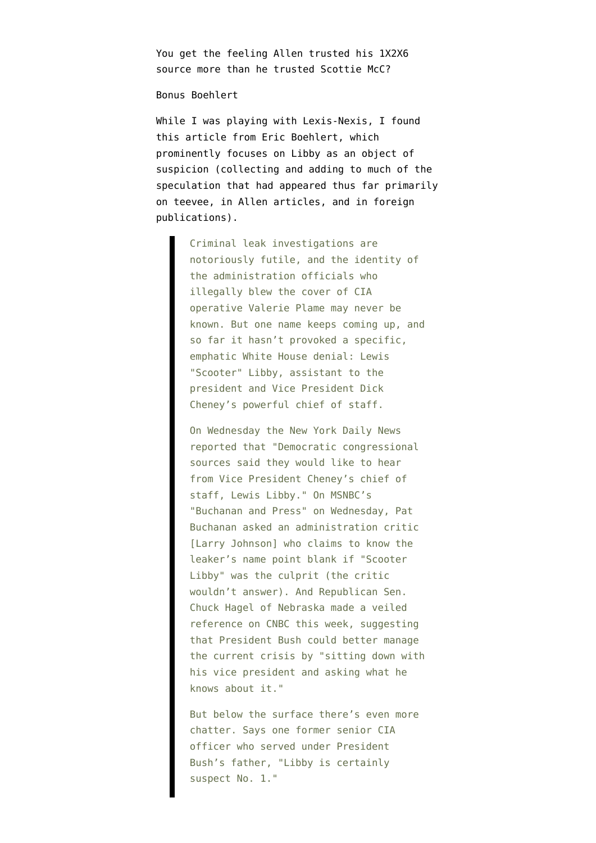You get the feeling Allen trusted his 1X2X6 source more than he trusted Scottie McC?

## Bonus Boehlert

While I was playing with Lexis-Nexis, I found [this article](http://archive.salon.com/news/feature/2003/10/03/libby/) from Eric Boehlert, which prominently focuses on Libby as an object of suspicion (collecting and adding to much of the speculation that had appeared thus far primarily on teevee, in Allen articles, and in foreign publications).

> Criminal leak investigations are notoriously futile, and the identity of the administration officials who illegally blew the cover of CIA operative Valerie Plame may never be known. But one name keeps coming up, and so far it hasn't provoked a specific, emphatic White House denial: Lewis "Scooter" Libby, assistant to the president and Vice President Dick Cheney's powerful chief of staff.

> On Wednesday the New York Daily News reported that "Democratic congressional sources said they would like to hear from Vice President Cheney's chief of staff, Lewis Libby." On MSNBC's "Buchanan and Press" on Wednesday, Pat Buchanan asked an administration critic [Larry Johnson] who claims to know the leaker's name point blank if "Scooter Libby" was the culprit (the critic wouldn't answer). And Republican Sen. Chuck Hagel of Nebraska made a veiled reference on CNBC this week, suggesting that President Bush could better manage the current crisis by "sitting down with his vice president and asking what he knows about it."

But below the surface there's even more chatter. Says one former senior CIA officer who served under President Bush's father, "Libby is certainly suspect No. 1."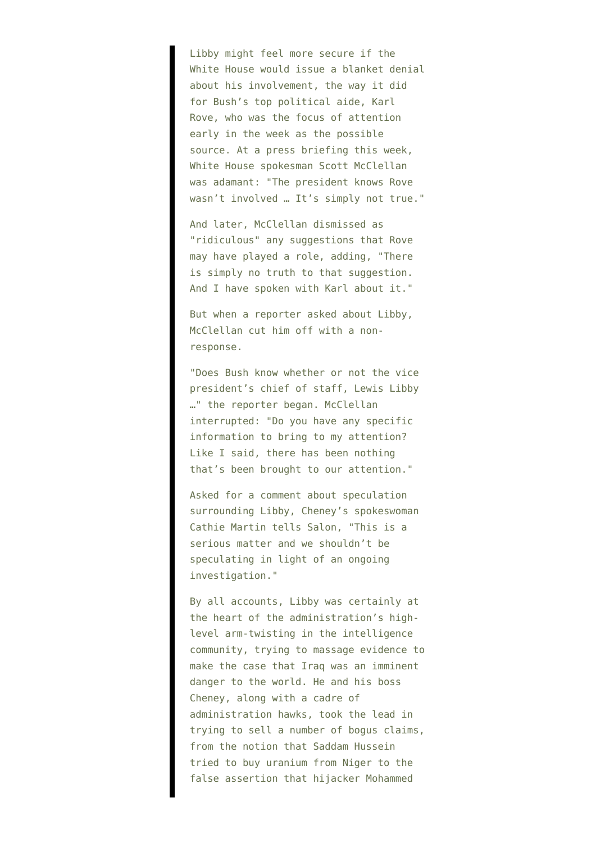Libby might feel more secure if the White House would issue a blanket denial about his involvement, the way it did for Bush's top political aide, Karl Rove, who was the focus of attention early in the week as the possible source. At a press briefing this week, White House spokesman Scott McClellan was adamant: "The president knows Rove wasn't involved … It's simply not true."

And later, McClellan dismissed as "ridiculous" any suggestions that Rove may have played a role, adding, "There is simply no truth to that suggestion. And I have spoken with Karl about it."

But when a reporter asked about Libby, McClellan cut him off with a nonresponse.

"Does Bush know whether or not the vice president's chief of staff, Lewis Libby …" the reporter began. McClellan interrupted: "Do you have any specific information to bring to my attention? Like I said, there has been nothing that's been brought to our attention."

Asked for a comment about speculation surrounding Libby, Cheney's spokeswoman Cathie Martin tells Salon, "This is a serious matter and we shouldn't be speculating in light of an ongoing investigation."

By all accounts, Libby was certainly at the heart of the administration's highlevel arm-twisting in the intelligence community, trying to massage evidence to make the case that Iraq was an imminent danger to the world. He and his boss Cheney, along with a cadre of administration hawks, took the lead in trying to sell a number of bogus claims, from the notion that Saddam Hussein tried to buy uranium from Niger to the false assertion that hijacker Mohammed